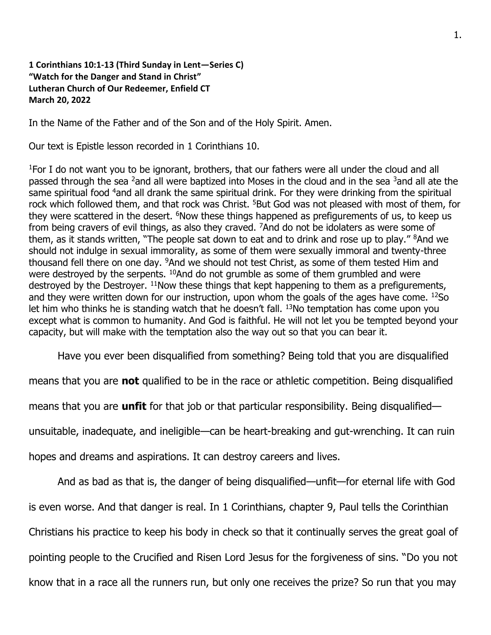## **1 Corinthians 10:1-13 (Third Sunday in Lent—Series C) "Watch for the Danger and Stand in Christ" Lutheran Church of Our Redeemer, Enfield CT March 20, 2022**

In the Name of the Father and of the Son and of the Holy Spirit. Amen.

Our text is Epistle lesson recorded in 1 Corinthians 10.

<sup>1</sup>For I do not want you to be ignorant, brothers, that our fathers were all under the cloud and all passed through the sea <sup>2</sup>and all were baptized into Moses in the cloud and in the sea <sup>3</sup>and all ate the same spiritual food <sup>4</sup>and all drank the same spiritual drink. For they were drinking from the spiritual rock which followed them, and that rock was Christ. <sup>5</sup>But God was not pleased with most of them, for they were scattered in the desert. <sup>6</sup>Now these things happened as prefigurements of us, to keep us from being cravers of evil things, as also they craved. <sup>7</sup>And do not be idolaters as were some of them, as it stands written, "The people sat down to eat and to drink and rose up to play." <sup>8</sup>And we should not indulge in sexual immorality, as some of them were sexually immoral and twenty-three thousand fell there on one day. <sup>9</sup>And we should not test Christ, as some of them tested Him and were destroyed by the serpents. <sup>10</sup>And do not grumble as some of them grumbled and were destroyed by the Destroyer. <sup>11</sup>Now these things that kept happening to them as a prefigurements, and they were written down for our instruction, upon whom the goals of the ages have come. 12So let him who thinks he is standing watch that he doesn't fall.  $13$ No temptation has come upon you except what is common to humanity. And God is faithful. He will not let you be tempted beyond your capacity, but will make with the temptation also the way out so that you can bear it.

Have you ever been disqualified from something? Being told that you are disqualified

means that you are **not** qualified to be in the race or athletic competition. Being disqualified

means that you are **unfit** for that job or that particular responsibility. Being disqualified—

unsuitable, inadequate, and ineligible—can be heart-breaking and gut-wrenching. It can ruin

hopes and dreams and aspirations. It can destroy careers and lives.

And as bad as that is, the danger of being disqualified—unfit—for eternal life with God is even worse. And that danger is real. In 1 Corinthians, chapter 9, Paul tells the Corinthian Christians his practice to keep his body in check so that it continually serves the great goal of pointing people to the Crucified and Risen Lord Jesus for the forgiveness of sins. "Do you not know that in a race all the runners run, but only one receives the prize? So run that you may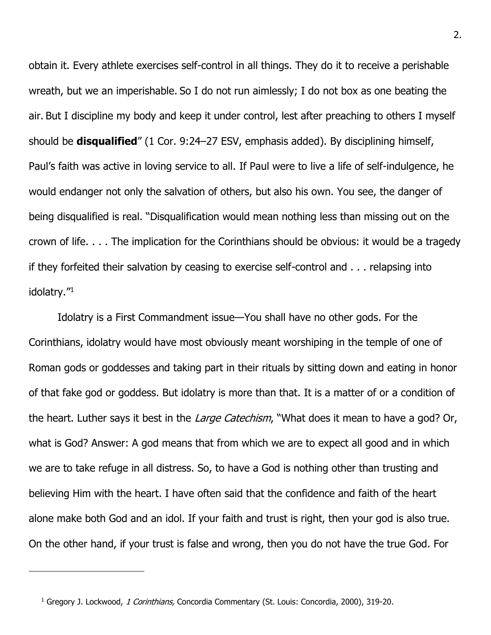obtain it. Every athlete exercises self-control in all things. They do it to receive a perishable wreath, but we an imperishable. So I do not run aimlessly; I do not box as one beating the air. But I discipline my body and keep it under control, lest after preaching to others I myself should be **disqualified**" (1 Cor. 9:24–27 ESV, emphasis added). By disciplining himself, Paul's faith was active in loving service to all. If Paul were to live a life of self-indulgence, he would endanger not only the salvation of others, but also his own. You see, the danger of being disqualified is real. "Disqualification would mean nothing less than missing out on the crown of life. . . . The implication for the Corinthians should be obvious: it would be a tragedy if they forfeited their salvation by ceasing to exercise self-control and . . . relapsing into idolatry."<sup>1</sup>

Idolatry is a First Commandment issue—You shall have no other gods. For the Corinthians, idolatry would have most obviously meant worshiping in the temple of one of Roman gods or goddesses and taking part in their rituals by sitting down and eating in honor of that fake god or goddess. But idolatry is more than that. It is a matter of or a condition of the heart. Luther says it best in the Large Catechism, "What does it mean to have a god? Or, what is God? Answer: A god means that from which we are to expect all good and in which we are to take refuge in all distress. So, to have a God is nothing other than trusting and believing Him with the heart. I have often said that the confidence and faith of the heart alone make both God and an idol. If your faith and trust is right, then your god is also true. On the other hand, if your trust is false and wrong, then you do not have the true God. For

<sup>&</sup>lt;sup>1</sup> Gregory J. Lockwood, 1 Corinthians, Concordia Commentary (St. Louis: Concordia, 2000), 319-20.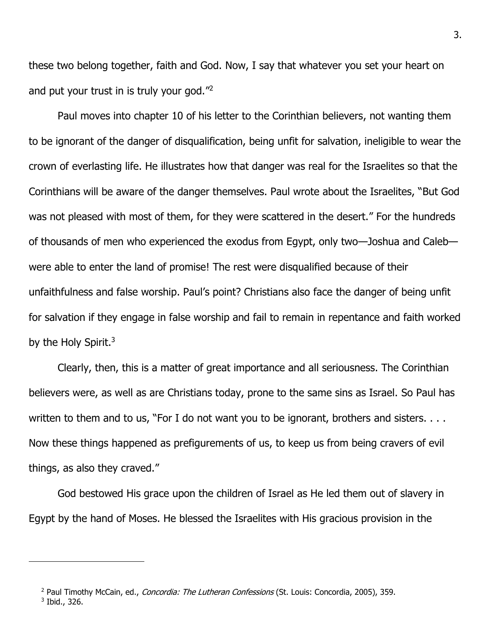these two belong together, faith and God. Now, I say that whatever you set your heart on and put your trust in is truly your god."<sup>2</sup>

Paul moves into chapter 10 of his letter to the Corinthian believers, not wanting them to be ignorant of the danger of disqualification, being unfit for salvation, ineligible to wear the crown of everlasting life. He illustrates how that danger was real for the Israelites so that the Corinthians will be aware of the danger themselves. Paul wrote about the Israelites, "But God was not pleased with most of them, for they were scattered in the desert." For the hundreds of thousands of men who experienced the exodus from Egypt, only two—Joshua and Caleb were able to enter the land of promise! The rest were disqualified because of their unfaithfulness and false worship. Paul's point? Christians also face the danger of being unfit for salvation if they engage in false worship and fail to remain in repentance and faith worked by the Holy Spirit. $3$ 

Clearly, then, this is a matter of great importance and all seriousness. The Corinthian believers were, as well as are Christians today, prone to the same sins as Israel. So Paul has written to them and to us, "For I do not want you to be ignorant, brothers and sisters. . . . Now these things happened as prefigurements of us, to keep us from being cravers of evil things, as also they craved."

God bestowed His grace upon the children of Israel as He led them out of slavery in Egypt by the hand of Moses. He blessed the Israelites with His gracious provision in the

<sup>&</sup>lt;sup>2</sup> Paul Timothy McCain, ed., *Concordia: The Lutheran Confessions* (St. Louis: Concordia, 2005), 359. 3 Ibid., 326.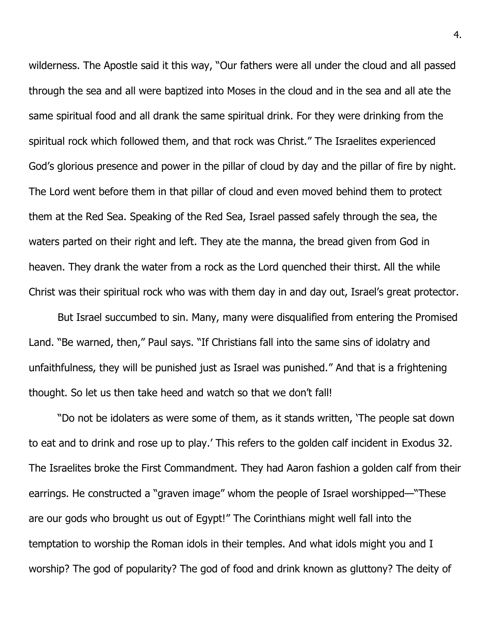wilderness. The Apostle said it this way, "Our fathers were all under the cloud and all passed through the sea and all were baptized into Moses in the cloud and in the sea and all ate the same spiritual food and all drank the same spiritual drink. For they were drinking from the spiritual rock which followed them, and that rock was Christ." The Israelites experienced God's glorious presence and power in the pillar of cloud by day and the pillar of fire by night. The Lord went before them in that pillar of cloud and even moved behind them to protect them at the Red Sea. Speaking of the Red Sea, Israel passed safely through the sea, the waters parted on their right and left. They ate the manna, the bread given from God in heaven. They drank the water from a rock as the Lord quenched their thirst. All the while Christ was their spiritual rock who was with them day in and day out, Israel's great protector.

But Israel succumbed to sin. Many, many were disqualified from entering the Promised Land. "Be warned, then," Paul says. "If Christians fall into the same sins of idolatry and unfaithfulness, they will be punished just as Israel was punished." And that is a frightening thought. So let us then take heed and watch so that we don't fall!

"Do not be idolaters as were some of them, as it stands written, 'The people sat down to eat and to drink and rose up to play.' This refers to the golden calf incident in Exodus 32. The Israelites broke the First Commandment. They had Aaron fashion a golden calf from their earrings. He constructed a "graven image" whom the people of Israel worshipped—"These are our gods who brought us out of Egypt!" The Corinthians might well fall into the temptation to worship the Roman idols in their temples. And what idols might you and I worship? The god of popularity? The god of food and drink known as gluttony? The deity of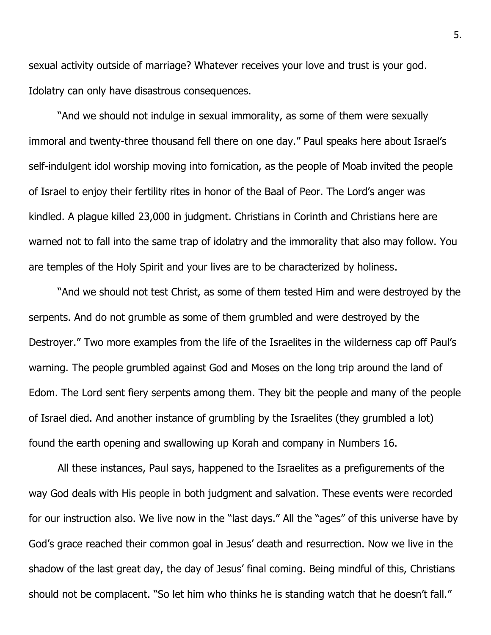sexual activity outside of marriage? Whatever receives your love and trust is your god. Idolatry can only have disastrous consequences.

"And we should not indulge in sexual immorality, as some of them were sexually immoral and twenty-three thousand fell there on one day." Paul speaks here about Israel's self-indulgent idol worship moving into fornication, as the people of Moab invited the people of Israel to enjoy their fertility rites in honor of the Baal of Peor. The Lord's anger was kindled. A plague killed 23,000 in judgment. Christians in Corinth and Christians here are warned not to fall into the same trap of idolatry and the immorality that also may follow. You are temples of the Holy Spirit and your lives are to be characterized by holiness.

"And we should not test Christ, as some of them tested Him and were destroyed by the serpents. And do not grumble as some of them grumbled and were destroyed by the Destroyer." Two more examples from the life of the Israelites in the wilderness cap off Paul's warning. The people grumbled against God and Moses on the long trip around the land of Edom. The Lord sent fiery serpents among them. They bit the people and many of the people of Israel died. And another instance of grumbling by the Israelites (they grumbled a lot) found the earth opening and swallowing up Korah and company in Numbers 16.

All these instances, Paul says, happened to the Israelites as a prefigurements of the way God deals with His people in both judgment and salvation. These events were recorded for our instruction also. We live now in the "last days." All the "ages" of this universe have by God's grace reached their common goal in Jesus' death and resurrection. Now we live in the shadow of the last great day, the day of Jesus' final coming. Being mindful of this, Christians should not be complacent. "So let him who thinks he is standing watch that he doesn't fall."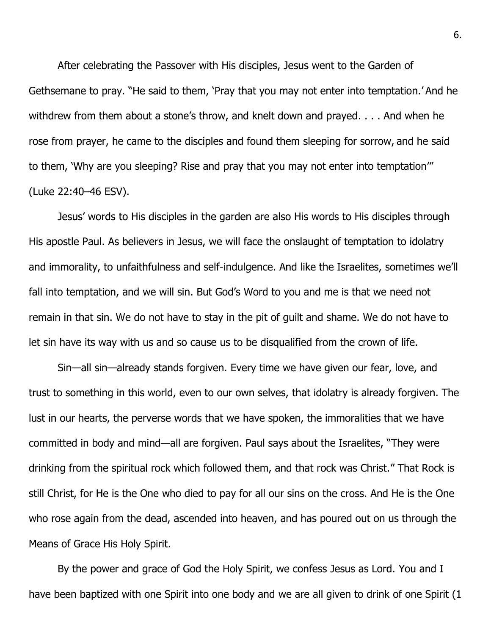After celebrating the Passover with His disciples, Jesus went to the Garden of Gethsemane to pray. "He said to them, 'Pray that you may not enter into temptation.' And he withdrew from them about a stone's throw, and knelt down and prayed. . . . And when he rose from prayer, he came to the disciples and found them sleeping for sorrow, and he said to them, 'Why are you sleeping? Rise and pray that you may not enter into temptation'" (Luke 22:40–46 ESV).

Jesus' words to His disciples in the garden are also His words to His disciples through His apostle Paul. As believers in Jesus, we will face the onslaught of temptation to idolatry and immorality, to unfaithfulness and self-indulgence. And like the Israelites, sometimes we'll fall into temptation, and we will sin. But God's Word to you and me is that we need not remain in that sin. We do not have to stay in the pit of guilt and shame. We do not have to let sin have its way with us and so cause us to be disqualified from the crown of life.

Sin—all sin—already stands forgiven. Every time we have given our fear, love, and trust to something in this world, even to our own selves, that idolatry is already forgiven. The lust in our hearts, the perverse words that we have spoken, the immoralities that we have committed in body and mind—all are forgiven. Paul says about the Israelites, "They were drinking from the spiritual rock which followed them, and that rock was Christ." That Rock is still Christ, for He is the One who died to pay for all our sins on the cross. And He is the One who rose again from the dead, ascended into heaven, and has poured out on us through the Means of Grace His Holy Spirit.

By the power and grace of God the Holy Spirit, we confess Jesus as Lord. You and I have been baptized with one Spirit into one body and we are all given to drink of one Spirit (1